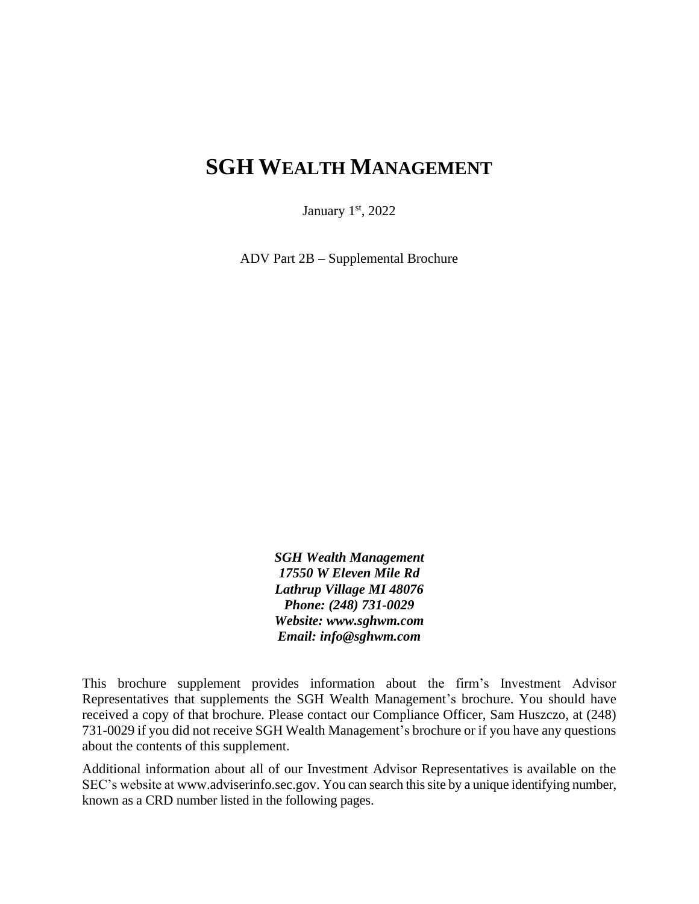# **SGH WEALTH MANAGEMENT**

January  $1<sup>st</sup>$ , 2022

ADV Part 2B – Supplemental Brochure

*SGH Wealth Management 17550 W Eleven Mile Rd Lathrup Village MI 48076 Phone: (248) 731-0029 Website: www.sghwm.com Email: info@sghwm.com*

This brochure supplement provides information about the firm's Investment Advisor Representatives that supplements the SGH Wealth Management's brochure. You should have received a copy of that brochure. Please contact our Compliance Officer, Sam Huszczo, at (248) 731-0029 if you did not receive SGH Wealth Management's brochure or if you have any questions about the contents of this supplement.

Additional information about all of our Investment Advisor Representatives is available on the SEC's website at www.adviserinfo.sec.gov. You can search this site by a unique identifying number, known as a CRD number listed in the following pages.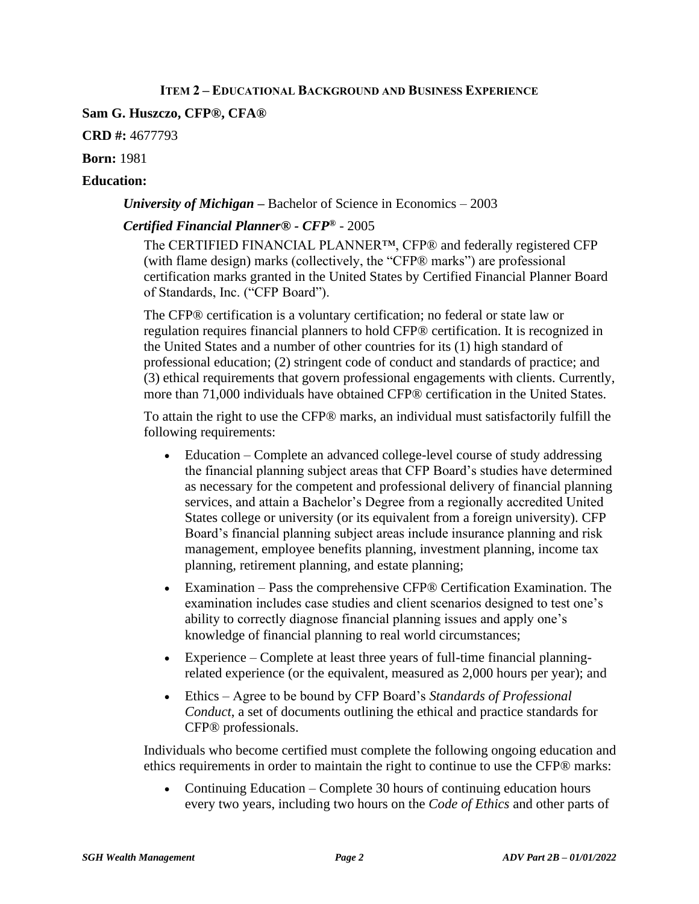### **ITEM 2 – EDUCATIONAL BACKGROUND AND BUSINESS EXPERIENCE**

### **Sam G. Huszczo, CFP®, CFA®**

**CRD #:** 4677793

**Born:** 1981

### **Education:**

### *University of Michigan –* Bachelor of Science in Economics – 2003

## *Certified Financial Planner® - CFP®* - 2005

The CERTIFIED FINANCIAL PLANNER™, CFP® and federally registered CFP (with flame design) marks (collectively, the "CFP® marks") are professional certification marks granted in the United States by Certified Financial Planner Board of Standards, Inc. ("CFP Board").

The CFP® certification is a voluntary certification; no federal or state law or regulation requires financial planners to hold CFP® certification. It is recognized in the United States and a number of other countries for its (1) high standard of professional education; (2) stringent code of conduct and standards of practice; and (3) ethical requirements that govern professional engagements with clients. Currently, more than 71,000 individuals have obtained CFP® certification in the United States.

To attain the right to use the CFP® marks, an individual must satisfactorily fulfill the following requirements:

- Education Complete an advanced college-level course of study addressing the financial planning subject areas that CFP Board's studies have determined as necessary for the competent and professional delivery of financial planning services, and attain a Bachelor's Degree from a regionally accredited United States college or university (or its equivalent from a foreign university). CFP Board's financial planning subject areas include insurance planning and risk management, employee benefits planning, investment planning, income tax planning, retirement planning, and estate planning;
- Examination Pass the comprehensive CFP® Certification Examination. The examination includes case studies and client scenarios designed to test one's ability to correctly diagnose financial planning issues and apply one's knowledge of financial planning to real world circumstances;
- Experience Complete at least three years of full-time financial planningrelated experience (or the equivalent, measured as 2,000 hours per year); and
- Ethics Agree to be bound by CFP Board's *Standards of Professional Conduct*, a set of documents outlining the ethical and practice standards for CFP® professionals.

Individuals who become certified must complete the following ongoing education and ethics requirements in order to maintain the right to continue to use the CFP® marks:

• Continuing Education – Complete 30 hours of continuing education hours every two years, including two hours on the *Code of Ethics* and other parts of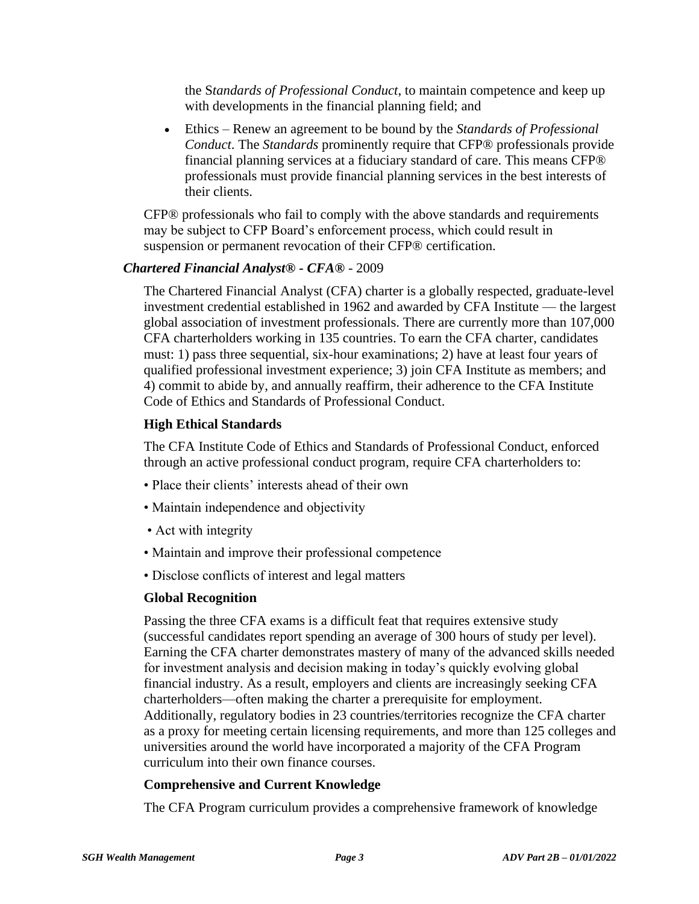the S*tandards of Professional Conduct*, to maintain competence and keep up with developments in the financial planning field; and

• Ethics – Renew an agreement to be bound by the *Standards of Professional Conduct*. The *Standards* prominently require that CFP® professionals provide financial planning services at a fiduciary standard of care. This means CFP® professionals must provide financial planning services in the best interests of their clients.

CFP® professionals who fail to comply with the above standards and requirements may be subject to CFP Board's enforcement process, which could result in suspension or permanent revocation of their CFP® certification.

#### *Chartered Financial Analyst® - CFA®* - 2009

The Chartered Financial Analyst (CFA) charter is a globally respected, graduate-level investment credential established in 1962 and awarded by CFA Institute — the largest global association of investment professionals. There are currently more than 107,000 CFA charterholders working in 135 countries. To earn the CFA charter, candidates must: 1) pass three sequential, six-hour examinations; 2) have at least four years of qualified professional investment experience; 3) join CFA Institute as members; and 4) commit to abide by, and annually reaffirm, their adherence to the CFA Institute Code of Ethics and Standards of Professional Conduct.

#### **High Ethical Standards**

The CFA Institute Code of Ethics and Standards of Professional Conduct, enforced through an active professional conduct program, require CFA charterholders to:

- Place their clients' interests ahead of their own
- Maintain independence and objectivity
- Act with integrity
- Maintain and improve their professional competence
- Disclose conflicts of interest and legal matters

#### **Global Recognition**

Passing the three CFA exams is a difficult feat that requires extensive study (successful candidates report spending an average of 300 hours of study per level). Earning the CFA charter demonstrates mastery of many of the advanced skills needed for investment analysis and decision making in today's quickly evolving global financial industry. As a result, employers and clients are increasingly seeking CFA charterholders—often making the charter a prerequisite for employment. Additionally, regulatory bodies in 23 countries/territories recognize the CFA charter as a proxy for meeting certain licensing requirements, and more than 125 colleges and universities around the world have incorporated a majority of the CFA Program curriculum into their own finance courses.

#### **Comprehensive and Current Knowledge**

The CFA Program curriculum provides a comprehensive framework of knowledge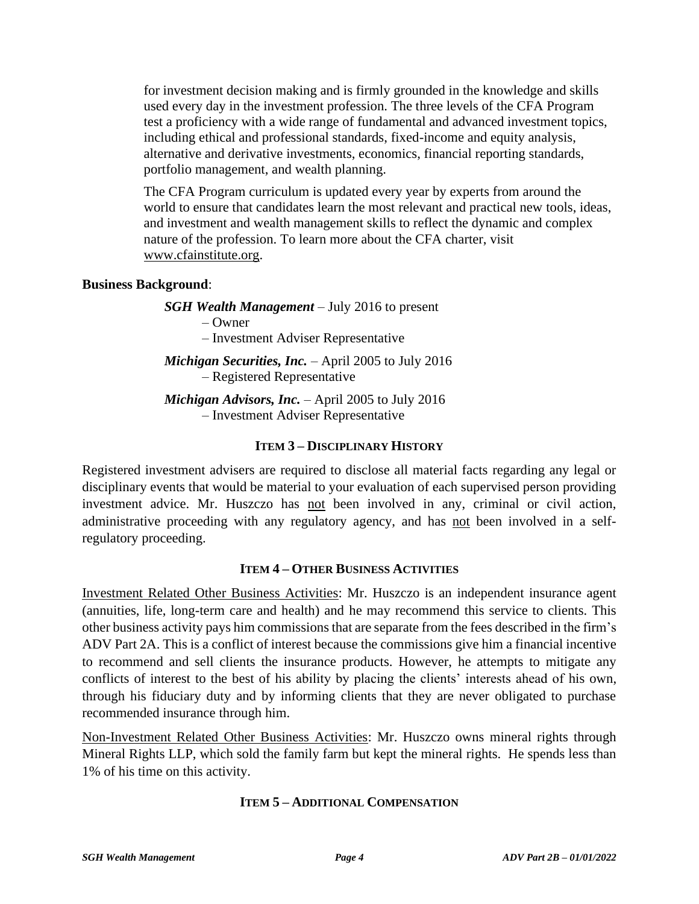for investment decision making and is firmly grounded in the knowledge and skills used every day in the investment profession. The three levels of the CFA Program test a proficiency with a wide range of fundamental and advanced investment topics, including ethical and professional standards, fixed-income and equity analysis, alternative and derivative investments, economics, financial reporting standards, portfolio management, and wealth planning.

The CFA Program curriculum is updated every year by experts from around the world to ensure that candidates learn the most relevant and practical new tools, ideas, and investment and wealth management skills to reflect the dynamic and complex nature of the profession. To learn more about the CFA charter, visit [www.cfainstitute.org.](http://www.cfainstitute.org/)

# **Business Background**:

*SGH Wealth Management* – July 2016 to present – Owner – Investment Adviser Representative

*Michigan Securities, Inc.* – April 2005 to July 2016 – Registered Representative

*Michigan Advisors, Inc.* – April 2005 to July 2016 – Investment Adviser Representative

# **ITEM 3 – DISCIPLINARY HISTORY**

Registered investment advisers are required to disclose all material facts regarding any legal or disciplinary events that would be material to your evaluation of each supervised person providing investment advice. Mr. Huszczo has not been involved in any, criminal or civil action, administrative proceeding with any regulatory agency, and has not been involved in a selfregulatory proceeding.

## **ITEM 4 – OTHER BUSINESS ACTIVITIES**

Investment Related Other Business Activities: Mr. Huszczo is an independent insurance agent (annuities, life, long-term care and health) and he may recommend this service to clients. This other business activity pays him commissions that are separate from the fees described in the firm's ADV Part 2A. This is a conflict of interest because the commissions give him a financial incentive to recommend and sell clients the insurance products. However, he attempts to mitigate any conflicts of interest to the best of his ability by placing the clients' interests ahead of his own, through his fiduciary duty and by informing clients that they are never obligated to purchase recommended insurance through him.

Non-Investment Related Other Business Activities: Mr. Huszczo owns mineral rights through Mineral Rights LLP, which sold the family farm but kept the mineral rights. He spends less than 1% of his time on this activity.

## **ITEM 5 – ADDITIONAL COMPENSATION**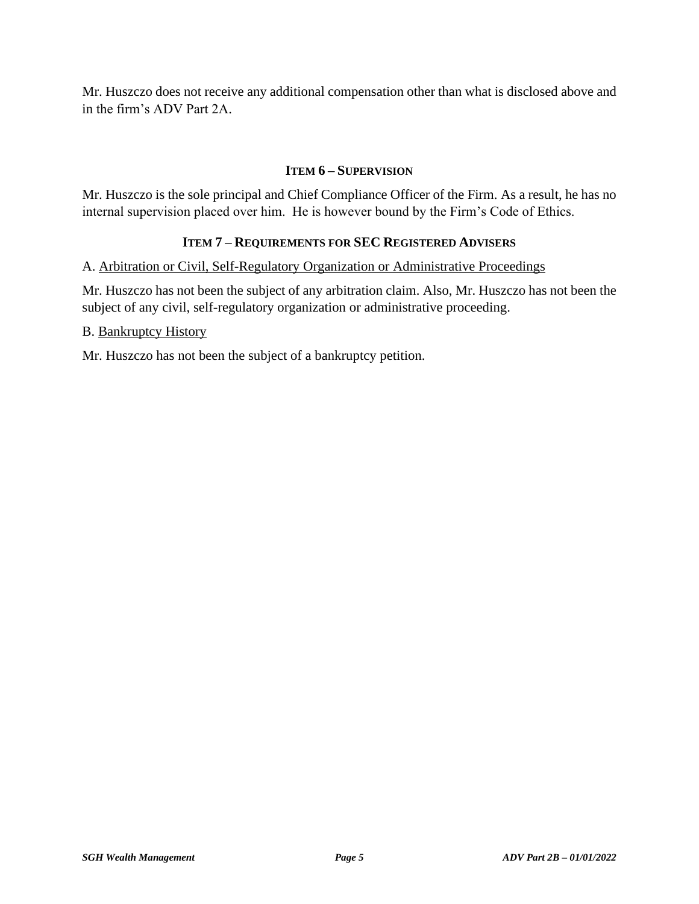Mr. Huszczo does not receive any additional compensation other than what is disclosed above and in the firm's ADV Part 2A.

### **ITEM 6 – SUPERVISION**

Mr. Huszczo is the sole principal and Chief Compliance Officer of the Firm. As a result, he has no internal supervision placed over him. He is however bound by the Firm's Code of Ethics.

### **ITEM 7 – REQUIREMENTS FOR SEC REGISTERED ADVISERS**

A. Arbitration or Civil, Self-Regulatory Organization or Administrative Proceedings

Mr. Huszczo has not been the subject of any arbitration claim. Also, Mr. Huszczo has not been the subject of any civil, self-regulatory organization or administrative proceeding.

B. Bankruptcy History

Mr. Huszczo has not been the subject of a bankruptcy petition.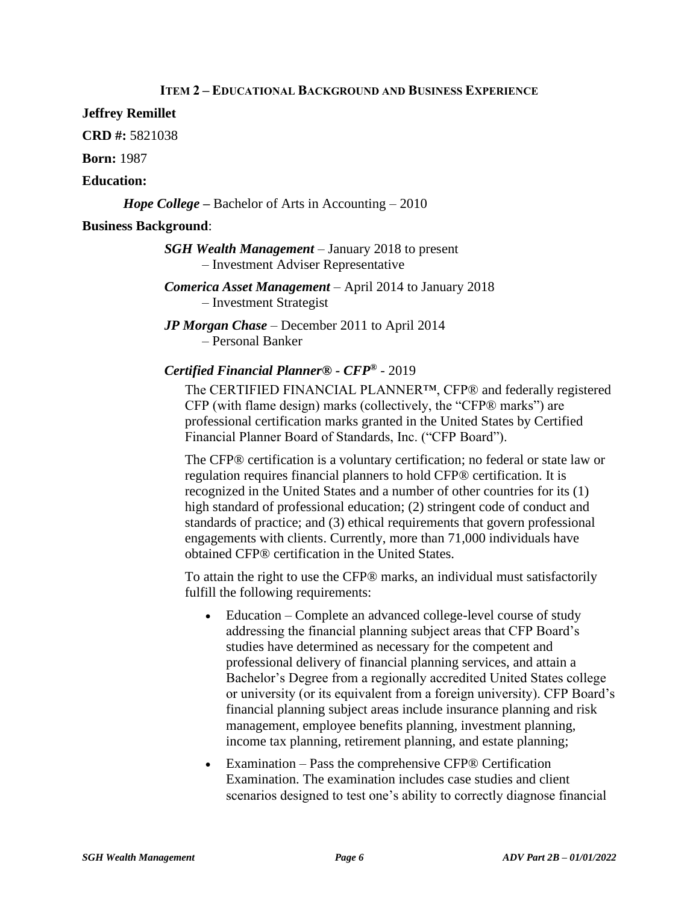### **ITEM 2 – EDUCATIONAL BACKGROUND AND BUSINESS EXPERIENCE**

### **Jeffrey Remillet**

**CRD #:** 5821038

**Born:** 1987

### **Education:**

*Hope College –* Bachelor of Arts in Accounting – 2010

### **Business Background**:

*SGH Wealth Management* – January 2018 to present – Investment Adviser Representative

*Comerica Asset Management* – April 2014 to January 2018 – Investment Strategist

*JP Morgan Chase* – December 2011 to April 2014 – Personal Banker

## *Certified Financial Planner® - CFP®* - 2019

The CERTIFIED FINANCIAL PLANNER™, CFP® and federally registered CFP (with flame design) marks (collectively, the "CFP® marks") are professional certification marks granted in the United States by Certified Financial Planner Board of Standards, Inc. ("CFP Board").

The CFP® certification is a voluntary certification; no federal or state law or regulation requires financial planners to hold CFP® certification. It is recognized in the United States and a number of other countries for its (1) high standard of professional education; (2) stringent code of conduct and standards of practice; and (3) ethical requirements that govern professional engagements with clients. Currently, more than 71,000 individuals have obtained CFP® certification in the United States.

To attain the right to use the CFP® marks, an individual must satisfactorily fulfill the following requirements:

- Education Complete an advanced college-level course of study addressing the financial planning subject areas that CFP Board's studies have determined as necessary for the competent and professional delivery of financial planning services, and attain a Bachelor's Degree from a regionally accredited United States college or university (or its equivalent from a foreign university). CFP Board's financial planning subject areas include insurance planning and risk management, employee benefits planning, investment planning, income tax planning, retirement planning, and estate planning;
- Examination Pass the comprehensive CFP® Certification Examination. The examination includes case studies and client scenarios designed to test one's ability to correctly diagnose financial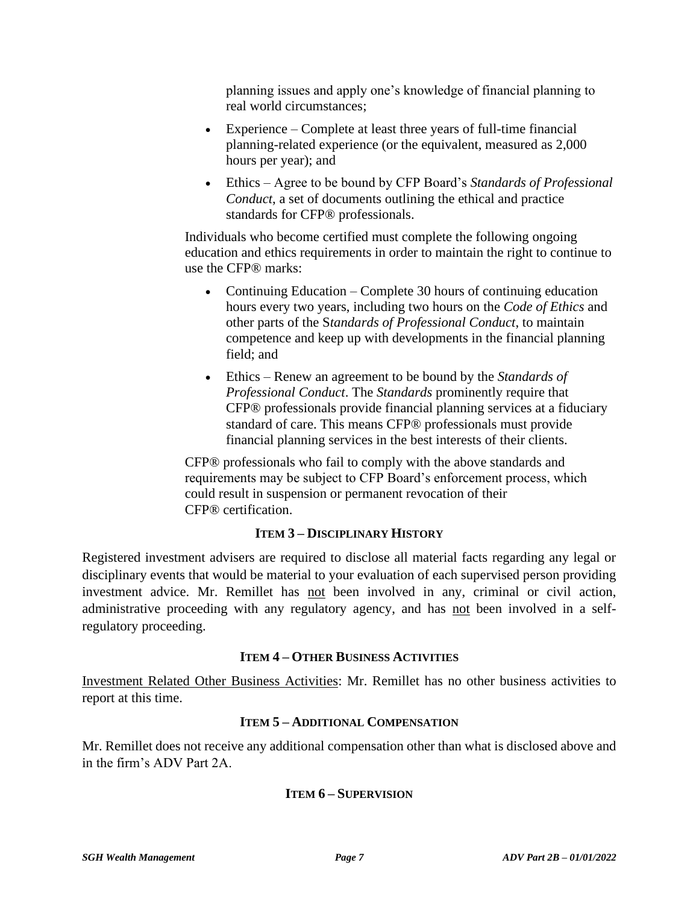planning issues and apply one's knowledge of financial planning to real world circumstances;

- Experience Complete at least three years of full-time financial planning-related experience (or the equivalent, measured as 2,000 hours per year); and
- Ethics Agree to be bound by CFP Board's *Standards of Professional Conduct*, a set of documents outlining the ethical and practice standards for CFP® professionals.

Individuals who become certified must complete the following ongoing education and ethics requirements in order to maintain the right to continue to use the CFP® marks:

- Continuing Education Complete 30 hours of continuing education hours every two years, including two hours on the *Code of Ethics* and other parts of the S*tandards of Professional Conduct*, to maintain competence and keep up with developments in the financial planning field; and
- Ethics Renew an agreement to be bound by the *Standards of Professional Conduct*. The *Standards* prominently require that CFP® professionals provide financial planning services at a fiduciary standard of care. This means CFP® professionals must provide financial planning services in the best interests of their clients.

CFP® professionals who fail to comply with the above standards and requirements may be subject to CFP Board's enforcement process, which could result in suspension or permanent revocation of their CFP® certification.

# **ITEM 3 – DISCIPLINARY HISTORY**

Registered investment advisers are required to disclose all material facts regarding any legal or disciplinary events that would be material to your evaluation of each supervised person providing investment advice. Mr. Remillet has not been involved in any, criminal or civil action, administrative proceeding with any regulatory agency, and has not been involved in a selfregulatory proceeding.

## **ITEM 4 – OTHER BUSINESS ACTIVITIES**

Investment Related Other Business Activities: Mr. Remillet has no other business activities to report at this time.

# **ITEM 5 – ADDITIONAL COMPENSATION**

Mr. Remillet does not receive any additional compensation other than what is disclosed above and in the firm's ADV Part 2A.

## **ITEM 6 – SUPERVISION**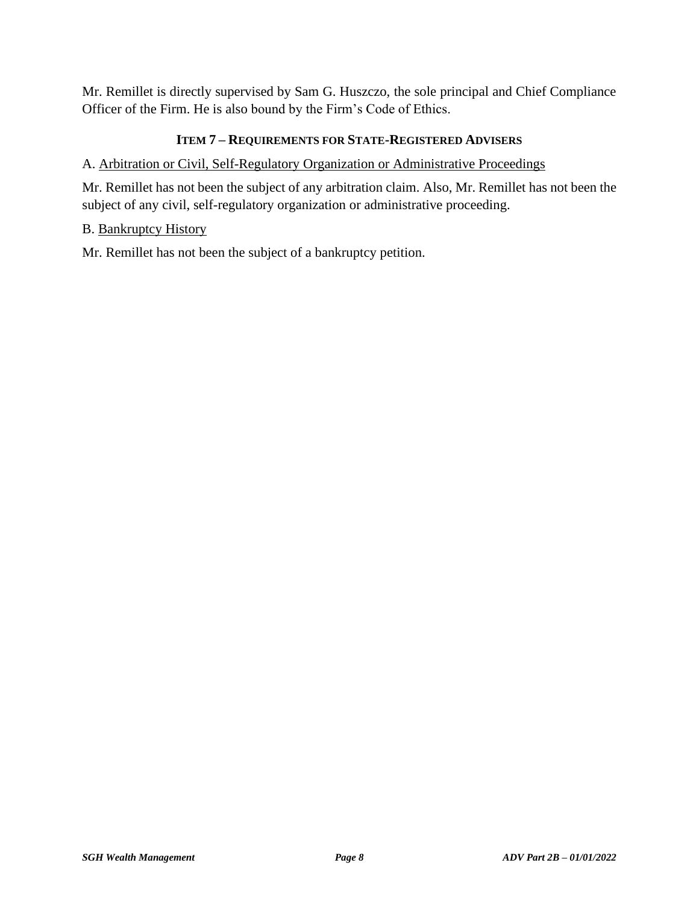Mr. Remillet is directly supervised by Sam G. Huszczo, the sole principal and Chief Compliance Officer of the Firm. He is also bound by the Firm's Code of Ethics.

# **ITEM 7 – REQUIREMENTS FOR STATE-REGISTERED ADVISERS**

## A. Arbitration or Civil, Self-Regulatory Organization or Administrative Proceedings

Mr. Remillet has not been the subject of any arbitration claim. Also, Mr. Remillet has not been the subject of any civil, self-regulatory organization or administrative proceeding.

## B. Bankruptcy History

Mr. Remillet has not been the subject of a bankruptcy petition.